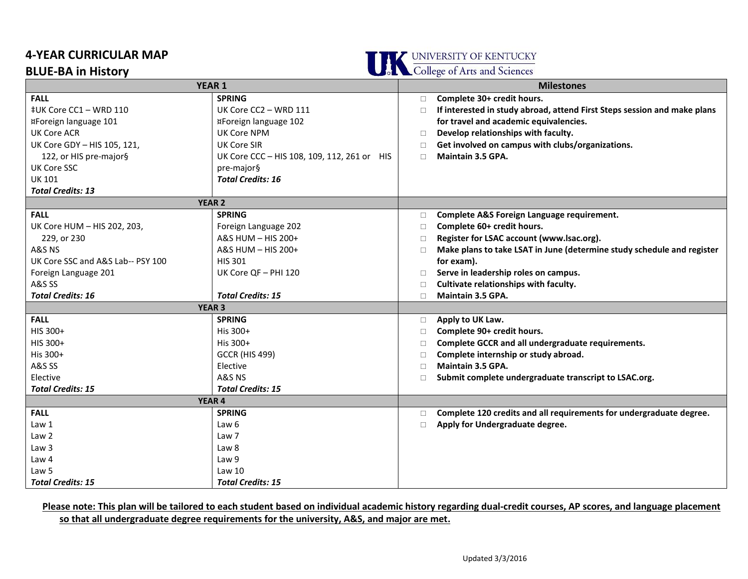## **4-YEAR CURRICULAR MAP**

**BLUE-BA in History**





| <b>YEAR 1</b>                     |                                             |        | <b>Milestones</b>                                                        |  |
|-----------------------------------|---------------------------------------------|--------|--------------------------------------------------------------------------|--|
| <b>FALL</b>                       | <b>SPRING</b>                               | $\Box$ | Complete 30+ credit hours.                                               |  |
| ‡UK Core CC1 - WRD 110            | UK Core CC2 - WRD 111                       | $\Box$ | If interested in study abroad, attend First Steps session and make plans |  |
| ¤Foreign language 101             | ¤Foreign language 102                       |        | for travel and academic equivalencies.                                   |  |
| <b>UK Core ACR</b>                | UK Core NPM                                 | П      | Develop relationships with faculty.                                      |  |
| UK Core GDY - HIS 105, 121,       | UK Core SIR                                 | П      | Get involved on campus with clubs/organizations.                         |  |
| 122, or HIS pre-major§            | UK Core CCC - HIS 108, 109, 112, 261 or HIS | $\Box$ | Maintain 3.5 GPA.                                                        |  |
| <b>UK Core SSC</b>                | pre-major§                                  |        |                                                                          |  |
| <b>UK 101</b>                     | <b>Total Credits: 16</b>                    |        |                                                                          |  |
| <b>Total Credits: 13</b>          |                                             |        |                                                                          |  |
| <b>YEAR 2</b>                     |                                             |        |                                                                          |  |
| <b>FALL</b>                       | <b>SPRING</b>                               | $\Box$ | Complete A&S Foreign Language requirement.                               |  |
| UK Core HUM - HIS 202, 203,       | Foreign Language 202                        | $\Box$ | Complete 60+ credit hours.                                               |  |
| 229, or 230                       | A&S HUM - HIS 200+                          | $\Box$ | Register for LSAC account (www.lsac.org).                                |  |
| A&S NS                            | A&S HUM $-$ HIS 200+                        | $\Box$ | Make plans to take LSAT in June (determine study schedule and register   |  |
| UK Core SSC and A&S Lab-- PSY 100 | <b>HIS 301</b>                              |        | for exam).                                                               |  |
| Foreign Language 201              | UK Core QF - PHI 120                        | $\Box$ | Serve in leadership roles on campus.                                     |  |
| A&S SS                            |                                             | $\Box$ | Cultivate relationships with faculty.                                    |  |
| <b>Total Credits: 16</b>          | <b>Total Credits: 15</b>                    | $\Box$ | <b>Maintain 3.5 GPA.</b>                                                 |  |
| <b>YEAR 3</b>                     |                                             |        |                                                                          |  |
| <b>FALL</b>                       | <b>SPRING</b>                               | $\Box$ | Apply to UK Law.                                                         |  |
| HIS 300+                          | His 300+                                    | $\Box$ | Complete 90+ credit hours.                                               |  |
| HIS 300+                          | His 300+                                    | $\Box$ | Complete GCCR and all undergraduate requirements.                        |  |
| His 300+                          | <b>GCCR (HIS 499)</b>                       | $\Box$ | Complete internship or study abroad.                                     |  |
| A&S SS                            | Elective                                    | $\Box$ | <b>Maintain 3.5 GPA.</b>                                                 |  |
| Elective                          | A&S NS                                      | П.     | Submit complete undergraduate transcript to LSAC.org.                    |  |
| <b>Total Credits: 15</b>          | <b>Total Credits: 15</b>                    |        |                                                                          |  |
| <b>YEAR 4</b>                     |                                             |        |                                                                          |  |
| <b>FALL</b>                       | <b>SPRING</b>                               | □      | Complete 120 credits and all requirements for undergraduate degree.      |  |
| Law 1                             | Law 6                                       | $\Box$ | Apply for Undergraduate degree.                                          |  |
| Law <sub>2</sub>                  | Law 7                                       |        |                                                                          |  |
| Law 3                             | Law 8                                       |        |                                                                          |  |
| Law 4                             | Law 9                                       |        |                                                                          |  |
| Law 5                             | Law <sub>10</sub>                           |        |                                                                          |  |
| <b>Total Credits: 15</b>          | <b>Total Credits: 15</b>                    |        |                                                                          |  |

**Please note: This plan will be tailored to each student based on individual academic history regarding dual-credit courses, AP scores, and language placement so that all undergraduate degree requirements for the university, A&S, and major are met.**